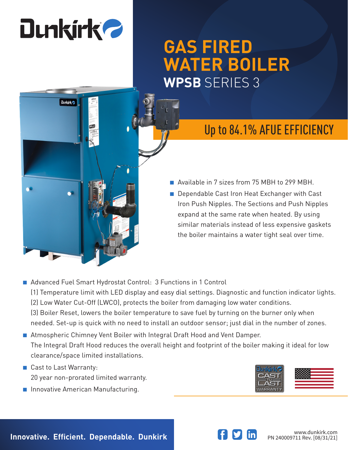# **Dunkirk 2**

# **GAS FIRED WATER BOILER WPSB** SERIES 3

# **Dunkirk**

## Up to 84.1% AFUE EFFICIENCY

- Available in 7 sizes from 75 MBH to 299 MBH.
- Dependable Cast Iron Heat Exchanger with Cast Iron Push Nipples. The Sections and Push Nipples expand at the same rate when heated. By using similar materials instead of less expensive gaskets the boiler maintains a water tight seal over time.
- Advanced Fuel Smart Hydrostat Control: 3 Functions in 1 Control (1) Temperature limit with LED display and easy dial settings. Diagnostic and function indicator lights. (2) Low Water Cut-Off (LWCO), protects the boiler from damaging low water conditions. (3) Boiler Reset, lowers the boiler temperature to save fuel by turning on the burner only when needed. Set-up is quick with no need to install an outdoor sensor; just dial in the number of zones.
- Atmospheric Chimney Vent Boiler with Integral Draft Hood and Vent Damper. The Integral Draft Hood reduces the overall height and footprint of the boiler making it ideal for low clearance/space limited installations.
- Cast to Last Warranty: 20 year non-prorated limited warranty.
- Innovative American Manufacturing.